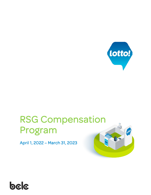

# RSG Compensation Program

April 1, 2022 – March 31, 2023



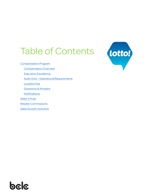# Table of Contents

[Compensation Program](#page-2-0)

[Compensation Overview](#page-3-0)

[Execution Excellence](#page-4-0)

Audit Only – [Operational Requirements](#page-6-0)

[Location Fee](#page-7-0)

[Questions & Answers](#page-8-0)

**Notifications** 

[Seller's Prize](#page-10-0)

[Retailer Commissions](#page-11-0)

[Sales Growth Incentive](#page-12-0)



# bala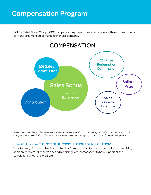# <span id="page-2-0"></span>Compensation Program

BCLC's Retail Stores Group (RSG) compensation program provides retailers with a number of ways to earn and is comprised of multiple financial elements.



*Revenue earned from Sales Growth Incentive, Prize Redemption Commission, and Seller's Prize is not part of compensation calculations., however revenue earned from these programs tracked for overall payment.*

#### HOW WILL I KNOW THE POTENTIAL COMPENSATION FOR MY LOCATION?

Your Territory Manager will review the Retailer Compensation Program in detail during their visits. In addition, retailers will receive a period reporting Excel spreadsheet to help support all the calculations under this program.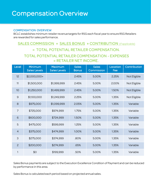# <span id="page-3-0"></span>Compensation Overview

#### COMPENSATION OVERVIEW

BCLC establishes minimum retailer revenue targets for RSG each fiscal year to ensure RSG Retailers are rewarded for sales performance.

# SALES COMMISSION + SALES BONUS + CONTRIBUTION (if applicable) = TOTAL POTENTIAL RETAILER COMPENSATION.

## TOTAL POTENTIAL RETAILER COMPENSATION - EXPENSES = RETAILER NET INCOME.

| Level          | Minimum<br><b>Sales Levels</b> | <b>Maximum</b><br><b>Sales Levels</b> | <b>Sales</b><br><b>Bonus</b> | <b>Sales</b><br>Commission | Location<br>Fee | Contribution |
|----------------|--------------------------------|---------------------------------------|------------------------------|----------------------------|-----------------|--------------|
| 12             | \$2,000,000+                   |                                       | 2.45%                        | 5.00%                      | 2.25%           | Not Eligible |
| 11             | \$1,500,000                    | \$1,999,999                           | 2.45%                        | 5.00%                      | 2.00%           | Not Eligible |
| 10             | \$1,250,000                    | \$1,499,999                           | 2.45%                        | 5.00%                      | 1.50%           | Not Eligible |
| $\mathcal{G}$  | \$1,100,000                    | \$1,249,999                           | 2.25%                        | 5.00%                      | 1.35%           | Not Eligible |
| 8              | \$975,000                      | \$1,099,999                           | 2.05%                        | 5.00%                      | 1.35%           | Variable     |
| $\overline{7}$ | \$725,000                      | \$974,999                             | 1.75%                        | 5.00%                      | 1.35%           | Variable     |
| 6              | \$600,000                      | \$724,999                             | 1.50%                        | 5.00%                      | 1.35%           | Variable     |
| 5              | \$475,000                      | \$599,999                             | 1.25%                        | 5.00%                      | 1.35%           | Variable     |
| $\overline{4}$ | \$375,000                      | \$474,999                             | 1.00%                        | 5.00%                      | 1.35%           | Variable     |
| 3              | \$275,000                      | \$374,999                             | .80%                         | 5.00%                      | 1.35%           | Variable     |
| $\overline{c}$ | \$200,000                      | \$274,999                             | .65%                         | 5.00%                      | 1.35%           | Variable     |
| 1              | \$0                            | \$199,999                             | .50%                         | 5.00%                      | 1.35%           | Variable     |

Sales Bonus payments are subject to the Execution Excellence Condition of Payment and can be reduced by performance in this area.

Sales Bonus is calculated each period based on projected annual sales.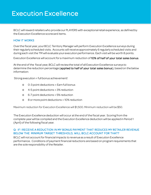<span id="page-4-0"></span>BCLC will reward retailers who provide our PLAYERS with exceptional retail experience, as defined by the Execution Excellence scorecard items.

#### HOW IT WORKS

Over the fiscal year, your BCLC Territory Manager will perform Execution Excellence surveys during their regularly scheduled visits. Accounts will receive approximately 6 regularly scheduled visits and during each visit the TM will evaluate your execution performance. Each visit will be worth 8 points.

Execution Excellence will account for a maximum reduction of 10% of half of your total sales bonus.

At the end of the fiscal year, BCLC will review the total of all Execution Excellence surveys to determine the reduction percentage (applied to half of your total sales bonus), based on the below information:

Strong execution = full bonus achievement!

- o 0-3 point deductions = Earn full bonus
- o 4-5 point deductions = 3% reduction
- o 6-7 point deductions = 5% reduction
- o 8 or more point deductions = 10% reduction

Maximum reduction for Execution Excellence will \$1,500. Minimum reduction will be \$50.

The Execution Excellence deduction will occur at the end of the fiscal year. Scoring from the complete year will be compiled and the Execution Excellence deduction will be applied in Period 1 (April) of the following fiscal year.

#### Q: IF I RECEIVE A REDUCTION IN MY BONUS PAYMENT THAT REDUCES MY RETAILER REVENUE BELOW THE MINIMUM TARGET THRESHOLD, WILL BCLC ACCOUNT FOR THAT?

BCLC will not account for financial impacts to revenue as a result of Execution Excellence performance. Conditions of payment financial reductions are based on program requirements that are the sole responsibility of the Retailer.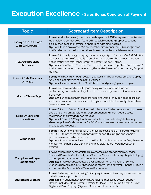# Execution Excellence - Sales Bonus Condition of Payment

| <b>Topic</b>                                  | <b>Scorecard Item Description</b>                                                                                                                                                                                                                                                                                                                                                                                                                            |  |  |  |  |  |
|-----------------------------------------------|--------------------------------------------------------------------------------------------------------------------------------------------------------------------------------------------------------------------------------------------------------------------------------------------------------------------------------------------------------------------------------------------------------------------------------------------------------------|--|--|--|--|--|
| Display case FULL and<br>to RSG Planogram     | 1 point for display case(s) merchandised as per the RSG Planogram on the Retailer<br>Hub, including correct ticket featured in special event tray (applies to second<br>display case if second terminal is operational with plexi installed)<br>O points if the display case(s) is not merchandised as per the RSG planogramon<br>the Retailer Hub or the incorrect ticket is featured in the special event tray.                                            |  |  |  |  |  |
| <b>ALL Jackpot Signs</b><br>Accurate          | 1 point if ALL jackpot signs display the accurate jackpots for Lotto 6/49 AND Lotto<br>Max, or if in the case of a digital jackpot sign not displaying the correct amount or<br>not operating, the retailer has informed Lottery Support Hotline.<br>O point if any jackpot sign is incorrect, and in the case of a digital jackpot displaying<br>the incorrect amount or not operating, the retailer hasn't informed Lottery Support<br>Hotline.            |  |  |  |  |  |
| <b>Point of Sale Materials</b><br>(Signage)   | 1 point for all CURRENT POS (poster A, poster B and bubble case strip) on display<br>AND a package play sign at point of purchase.<br>O points if some or none of the CURRENT POS and package play on display.                                                                                                                                                                                                                                               |  |  |  |  |  |
| Uniforms/Name Tags                            | 1 point if uniforms and name tags are being worn and appear clean and<br>professional, personal clothing is in solid colours and light-wash blue jeans are not<br>being worn.<br>O points if uniforms or name tags are not being worn or they do not appear clean<br>and professional. Also, if personal clothing is not in solid colours or light-wash blue<br>jeans are being worn.                                                                        |  |  |  |  |  |
| <b>Sales Drivers and</b><br><b>Incentives</b> | 1 point if Scratch & Win gift option are displayed AND sales targets, tracking sheets<br>and point-of-salematerials for BCLC promotions and incentives are used,<br>maintained and provided upon request.<br>O points if Scratch & Win gift option are displayed and sales targets, tracking<br>sheets or point-of-sale materials for BCLC incentives are not used, maintained and<br>provided upon request.                                                 |  |  |  |  |  |
| <b>Cleanliness</b>                            | 1 point if the exterior and interior of the kiosk is clean and clutter free (including<br>non-BCLC items), there are no handwritten or non-BCLC signs, and winning<br>pictures are removed when expired.<br>O points if the exterior or interior of the kiosk is not clean and clutter free, there are<br>handwritten or non-BCLC signs, and winning pictures are not removed when<br>expired.                                                               |  |  |  |  |  |
| <b>Compliance/Player</b><br>Satisfaction      | 1 point if there is no substantiated player complaint(s) or violation of Service<br>Standard Remedies (ie. ID25 Mystery Shop fail, Validation Mystery Shop fail, Playing<br>at Work) or the Payment Card Terminal Procedures.<br>O points if there is substantiated player complaint(s) or violation of Service<br>Standard Remedies (ie. ID25 Mystery Shop fail, Validation Mystery Shop fail, Playing<br>at Work) or the Payment Card Terminal Procedures. |  |  |  |  |  |
| <b>Equipment Working</b>                      | 1 point if all equipment is working/or if any equipment not working and retailer has<br>called Lottery Support Hotline.<br>O point if any equipment not working/retailer has not called Lottery Support<br>Hotline (includes: Altura Lottery Terminal(s), Player Display Unit, Check-A-Ticket,<br>Digital and Keno Displays (Sign and Monitor) and plexi shields.                                                                                            |  |  |  |  |  |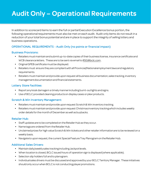# <span id="page-6-0"></span>Audit Only – Operational Requirements

In addition to scorecard items to earn the full or partial Execution Excellence bonus portion, the following operational requirements must also be met on each audit. Audit only items do not result in a reduction of your total bonus potential and are in place to support the integrity of selling lottery and business operations.

#### OPERATIONAL REQUIREMENTS - Audit Only (no points or financial impact)

#### Business Provisions:

- Retailers must maintain and submit up-to-date copies of their business license, insurance certificate and WCB clearance letters. These are to be sent via email to [RSG@bclc.com](mailto:RSG@bclc.com).
- Original GPEB certificate must be displayed.
- Retailers must ensure they are compliant with all Provincial/National employment laws and regulatory requirements.
- Retailers must maintain and provide upon request all business documentation, sales tracking, inventory management documentation and financial statements.

#### Lottery Store Facilities:

- Report any kiosk damage in a timely manner including burnt-out lights and signs.
- Use of BCLC provided cleaning products on display cases or plexi products.

#### Scratch & Win Inventory Management:

- Retailers must maintain and provide upon request Scratch & Win inventory tracking.
- Retailers must maintain and provide upon request Christmas inventory tracking which includes weekly order details for the month of December as well as buybacks.

#### Retailer Hub:

- Staff updates are to be completed on the Retailer Hub as they occur.
- Name tags are ordered from the Retailer Hub.
- Unclaimed prizes for high value Scratch & Win tickets and other retailer information are to be reviewed on a weekly basis.
- Navigate to upon request, the current Special Feature Tray Planogram on the Retailer Hub.

#### Additional Sales Drivers:

- Maintain daily/weekly sales tracking including Jackpot levels.
- When location is closed, BCLC issued hours of operation sign is displayed (where applicable).
- Selection slip holders full and to planogram.
- Individual sales drivers must be discussed and approved by your BCLC Territory Manager. These initiatives should only occur when BCLC is not conducting player promotions.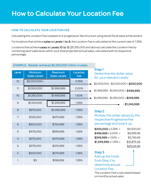# <span id="page-7-0"></span>How to Calculate Your Location Fee

### HOW TO CALCULATE YOUR LOCATION FEE

Calculating the Location Fee is based on a 'progressive' fee structure using tiered fiscal sales achievement.

For locations that achieve sales in Levels 1 to 9, the Location Fee is calculated at the current rate of 1.35%.

Locations that achieve sales in Levels 10 to 12 (\$1,250,000 and above) calculate the Location Fee by combining each sales level, within your total projected annual sales, calculated with its respective percentage.

#### EXAMPLE: Retailer achieves \$2,200,000 million in sales:

|                |                                |                                       |                 | Step1                                                                                   |
|----------------|--------------------------------|---------------------------------------|-----------------|-----------------------------------------------------------------------------------------|
| Level          | Minimum<br><b>Sales Levels</b> | <b>Maximum</b><br><b>Sales Levels</b> | Location<br>Fee | Determine the dollar value<br>for your relevant Levels:                                 |
| 12             | \$2,000,000+                   |                                       | 2.25%           | $$2,200,000 - $2,000,000 = $200,000$                                                    |
| 11             | \$1,500,000                    | \$1,999,999                           | 2.00%           | $$1,999,999 - $1,500,000 = $499,999$                                                    |
| 10             | \$1,250,000                    | \$1,499,999                           | 1.50%           | $$1,499,999 - $1,250,000 = $249,999$                                                    |
| $\mathsf{9}$   | \$1,100,000                    | \$1,249,999                           | 1.35%           | $= $1,249,999$                                                                          |
| 8              | \$975,000                      | \$1,099,999                           | 1.35%           | Step <sub>2</sub>                                                                       |
| $\overline{7}$ | \$725,000                      | \$974,999                             | 1.35%           | Multiply the dollar values by the<br>respective Progressive Fee                         |
| 6              | \$600,000                      | \$724,999                             | 1.35%           | percentage and total it up:                                                             |
| 5              | \$475,000                      | \$599,999                             | 1.35%           | $$200,000 \times 2.25\% =$<br>\$4,500.00<br>$$499,999 \times 2.00\% =$<br>\$9,999.98    |
| $\overline{4}$ | \$375,000                      | \$474,999                             | 1.35%           | $$249,999 \times 1.50\% =$<br>\$3,749.99<br>$$1,249,999 \times 1.35\% =$<br>\$16,874.99 |
| 3              | \$275,000                      | \$374,999                             | 1.35%           | \$35,124.96                                                                             |
| $\overline{c}$ | \$200,000                      | \$274,999                             | 1.35%           | Step <sub>3</sub><br>Add up the totals                                                  |
| 1              | \$0                            | \$199,999                             | 1.35%           | from Step 2 to<br>determine annual                                                      |
|                |                                |                                       |                 | Location Fee.                                                                           |

The Location Fee is calculated based on monthly actual sales.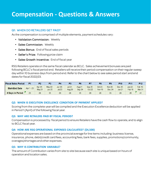# <span id="page-8-0"></span>**Compensation - Questions & Answers**

#### Q1: WHEN DO RETAILERS GET PAID?

As the compensation is comprised of multiple elements, payment schedules vary:

- Validation Commission: Weekly
- Sales Commission: Weekly
- Sales Bonus: End of fiscal sales periods
- Seller's Prize: Following prize claim
- Sales Growth Incentive: End of fiscal year

RSG Retailers operate on the same fiscal calendar as BCLC. Sales achievement bonuses are paid following BCLC's fiscal period end. Retailers will receive their period compensation on their regular sweep day within 10 business days from period end. Refer to the chart below to see sales period start and end dates for fiscal 2022/23.

| <b>Fiscal Sales Period</b> | P <sub>1</sub> | P2                        | P3                        | P4                        | P5                 | P <sub>6</sub>     |                    | P8                          | P9                   | P10                | P11                           | P12                       |
|----------------------------|----------------|---------------------------|---------------------------|---------------------------|--------------------|--------------------|--------------------|-----------------------------|----------------------|--------------------|-------------------------------|---------------------------|
| <b>Start-End Date</b>      | Apr 1 - 23     | Apr 24 -<br><b>May 21</b> | May 22 -<br><b>Jun 25</b> | Jun 26 -<br><b>Jul 23</b> | Jul 24 -<br>Aug 20 | Aug 21 -<br>Sep 24 | Sep 25 -<br>Oct 22 | Oct $23 -$<br><b>Nov 19</b> | Nov $20 -$<br>Dec 24 | Dec 25 -<br>Jan 21 | Jan 22 -<br>Feb <sub>18</sub> | Feb 19 -<br><b>Mar 31</b> |
| # Days in Period           | 23             | 28                        | 35                        | 28                        | 28                 | 35                 | 28                 | 28                          | 35                   | 28                 | 28                            | 41                        |

#### **Q2: WHEN IS EXECUTION EXCELLENCE CONDITION OF PAYMENT APPLIED?**

Scoring from the complete year will be compiled and the Execution Excellence deduction will be applied in Period 1 (April) of the following fiscal year.

#### **Q3: WHY ARE RETAILERS PAID BY FISCAL PERIOD?**

Compensation is processed by fiscal period to ensure Retailers have the cash flow to operate, and to align to BCLC fiscal year.

#### **Q4: HOW ARE RSG OPERATIONAL EXPENSES CALCULATED? (\$4,500)**

Operational expenses are based on the provincial average for line items including: business license, insurance, phone, debit/credit card fees, accounting fees, bank fees, supplies, promotions/community, overages/shortages and other expenses.

#### **Q5: WHY IS CONTRIBUTION VARIABLE?**

The amount of Contribution varies from site to site because each site is unique based on hours of operation and location sales.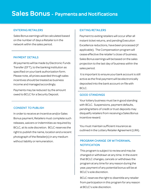#### <span id="page-9-0"></span>ENTERING RETAILERS

Sales Bonus earnings will be calculated based on the number of days a Retailer is in the network within the sales period.

#### PAYMENT DETAILS

All payments will be made by Electronic Funds Transfer (EFT), to the banking institution as specified on your bank authorization form. Please note, all prizes awarded through sales incentives should be treated as business income and managed accordingly.

Payments may be reduced by the amount owed to BCLC for a Security Deposit.

#### CONSENT TO PUBLISH

In order to receive an Incentive and/or Sales Bonus payment, Retailers must complete such releases, waivers or indemnities as required by BCLC, at its sole discretion. BCLC reserves the right to publish the name, location and a recent photograph of the Retailer(s) in any medium without liability or remuneration.

#### EXITING RETAILERS

Payment to exiting retailers will occur after all instant ticket returns, and pending Execution Excellence reductions, have been processed (if applicable). The Compensation program will cease effective the retailer's close of business. Sales Bonus earnings will be based on the sales projection to the last day of business within the sales period.

It is important to ensure your bank account is still active as the final payment will be electronically deposited into the bank account on file with BCLC.

#### GOOD STANDINGS

Your lottery business must be in good standing with BCLC. Suspensions, payment defaults, pending letters of credit or trust deposits may disqualify retailers from receiving a Sales Bonus incentive reward.

You must maintain sufficient insurance as outlined in the Lottery Retailer Agreement (LRA).

### PROGRAM CHANGE OR WITHDRAWAL **NOTIFICATION**

This program is subject to review and may be changed or withdrawn at any time. In the event that BCLC changes, cancels or withdraws the program at any time for any reason during the year, payment of any potential bonus will be at BCLC's sole discretion.

BCLC reserves the right to disentitle any retailer from participation in this program for any reason at BCLC's sole discretion.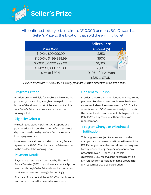<span id="page-10-0"></span>

All confirmed lottery prize claims of \$10,000 or more, BCLC awards a Seller's Prize to the location that sold the winning ticket.

|                        | <b>Seller's Prize</b> |
|------------------------|-----------------------|
| <b>Prize Won</b>       | Amount (\$)           |
| \$10K to \$99,999.99   | \$250                 |
| \$100K to \$499,999.99 | \$500                 |
| \$500K to \$999,999.99 | \$1,000               |
| \$1M to \$1,999,999.99 | \$2,000               |
| \$2M to \$70M          | 0.10% of Prize Won    |
|                        | (\$2K to \$70K)       |

*Seller's Prizes are available for all lottery products with the exception of Sports Action.*

#### Program Criteria

Retailers are only eligible for a Seller's Prize once the prize won, on a winning ticket, has been paid to the holder of the winning ticket. A Retailer is not eligible for a Seller's Prize for any unclaimed or expired winning ticket.

#### Eligibility Criteria

Maintain good standing with BCLC. Suspensions, payment defaults, pending letters of credit or trust deposits may disqualify retailers from receiving a bonus payment; and

Have an active, valid and subsisting Lottery Retailer Agreement with BCLC on the date the Prize was paid to the holder of the Winning Ticket.

#### Payment Details

Payments to retailers will be made by Electronic Funds Transfer (EFT) to your bank account. All prizes awarded through Seller Prizes should be treated as business income and managed accordingly.

The date of payment will be at BCLC's sole discretion and communicated to the retailer in advance.

#### Consent to Publish

In order to receive an Incentive and/or Sales Bonus payment, Retailers must complete such releases, waivers or indemnities as required by BCLC, at its sole discretion. BCLC reserves the right to publish the name, location and a recent photograph of the Retailer(s) in any medium without liability or remuneration.

### Program Change or Withdrawal **Notification**

This program is subject to review and may be changed or withdrawn at any time. In the event that BCLC changes, cancels or withdraws the program for any reason during the year, payment of any potential payout will be at BCLC's sole discretion.BCLC reserves the right to disentitle any retailer from participation in this program for any reason at BCLC's sole discretion.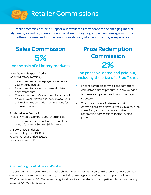<span id="page-11-0"></span>

Retailer commissions help support our retailers as they adapt to the changing market dynamics, as well as, shows our appreciation for ongoing support and engagement in our lottery business and for the continuous delivery of exceptional player experiences

# Sales Commission 5%

## on the sale of all lottery products

#### Draw Games & Sports Action

(sold via Lottery Terminal)

- Sales commission is displayed as a credit on your Weekly Invoice.
- Sales commissions earned are calculated daily, by product.
- The total amount of sales commission listed on your 'Weekly Invoice' is the sum of all your daily calculated validation commissions for the invoice period.

#### Scratch & Win Product

(including Web Cash where approved for sale)

Sales commission is built into the purchase price of a pack of Scratch & Win tickets.

Ie. Book of 100 \$1 tickets: Retailer Selling Price \$100.00 Retailer Purchase Price \$95.00 Sales Commission \$5.00

# Prize Redemption **Commission** 2%

## on prizes validated and paid out, including the prize of a Free Ticket

- Prize redemption commissions earned are calculated daily, by product, and are rounded to the nearest penny due to our prize payout structure.
- The total amount of prize redemption commission listed on your weekly Invoice is the sum of all your daily calculated prize redemption commissions for the invoice period

#### Program Change or Withdrawal Notification

This program is subject to review and may be changed or withdrawn at any time. In the event that BCLC changes, cancels or withdraws the program for any reason during the year, payment of any potential payout will be at BCLC's sole discretion. BCLC reserves the right to disentitle any retailer from participation in this program for any reason at BCLC's sole discretion.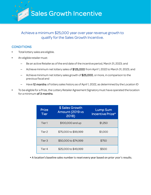<span id="page-12-0"></span>Sales Growth Incentive

### Achieve a minimum \$25,000 year over year revenue growth to qualify for the Sales Growth Incentive.

### **CONDITIONS**

- Total lottery sales are eligible.
- An eligible retailer must:
	- Be an active Retailer as of the end date of the incentive period, March 31, 2023; and
	- Achieve minimum net lottery sales of \$125,000 from April 1, 2022 to March 31, 2023; and
	- Achieve minimum net lottery sales growth of \$25,000, or more, in comparison to the previous fiscal and
	- Have 12 months of lottery sales history as of April 1, 2022, as determined by the Location ID
- To be eligible for a Prize, the Lottery Retailer Agreement Signatory must have operated the location for a minimum of 3 months.

| <b>Prize</b><br><b>Tier</b> | \$ Sales Growth<br>Amount (2019 vs<br>2018) | <b>Lump Sum</b><br>Incentive Prize* |
|-----------------------------|---------------------------------------------|-------------------------------------|
| Tier 1                      | \$100,000 and up                            | \$1,250                             |
| Tier 2                      | \$75,000 to \$99,999                        | \$1,000                             |
| Tier <sub>3</sub>           | \$50,000 to \$74,999                        | \$750                               |
| Tier 4                      | \$25,000 to \$49,999                        | \$500                               |

• A location's baseline sales number is reset every year based on prior year's results.